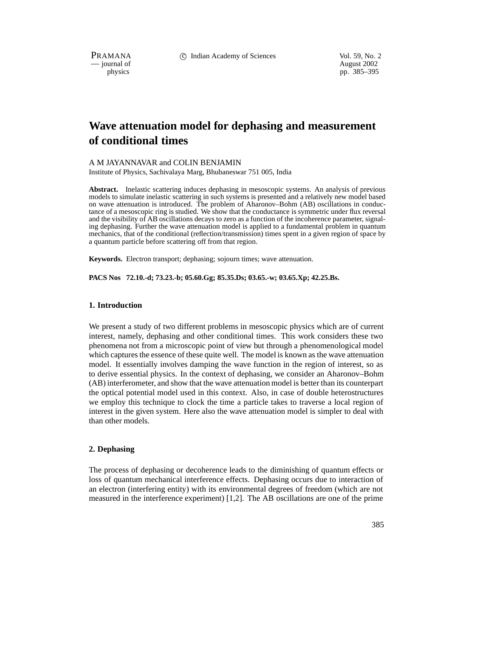PRAMANA 
<sup>C</sup> Indian Academy of Sciences Vol. 59, No. 2<br>
— iournal of August 2002

position of the contract of the contract of the contract of the contract of the contract of the contract of the contract of the contract of the contract of the contract of the contract of the contract of the contract of th pp. 385–395

# **Wave attenuation model for dephasing and measurement of conditional times**

#### A M JAYANNAVAR and COLIN BENJAMIN

Institute of Physics, Sachivalaya Marg, Bhubaneswar 751 005, India

**Abstract.** Inelastic scattering induces dephasing in mesoscopic systems. An analysis of previous models to simulate inelastic scattering in such systems is presented and a relatively new model based on wave attenuation is introduced. The problem of Aharonov–Bohm (AB) oscillations in conductance of a mesoscopic ring is studied. We show that the conductance is symmetric under flux reversal and the visibility of AB oscillations decays to zero as a function of the incoherence parameter, signaling dephasing. Further the wave attenuation model is applied to a fundamental problem in quantum mechanics, that of the conditional (reflection/transmission) times spent in a given region of space by a quantum particle before scattering off from that region.

**Keywords.** Electron transport; dephasing; sojourn times; wave attenuation.

**PACS Nos 72.10.-d; 73.23.-b; 05.60.Gg; 85.35.Ds; 03.65.-w; 03.65.Xp; 42.25.Bs.**

## **1. Introduction**

We present a study of two different problems in mesoscopic physics which are of current interest, namely, dephasing and other conditional times. This work considers these two phenomena not from a microscopic point of view but through a phenomenological model which captures the essence of these quite well. The model is known as the wave attenuation model. It essentially involves damping the wave function in the region of interest, so as to derive essential physics. In the context of dephasing, we consider an Aharonov–Bohm (AB) interferometer, and show that the wave attenuation model is better than its counterpart the optical potential model used in this context. Also, in case of double heterostructures we employ this technique to clock the time a particle takes to traverse a local region of interest in the given system. Here also the wave attenuation model is simpler to deal with than other models.

# **2. Dephasing**

The process of dephasing or decoherence leads to the diminishing of quantum effects or loss of quantum mechanical interference effects. Dephasing occurs due to interaction of an electron (interfering entity) with its environmental degrees of freedom (which are not measured in the interference experiment) [1,2]. The AB oscillations are one of the prime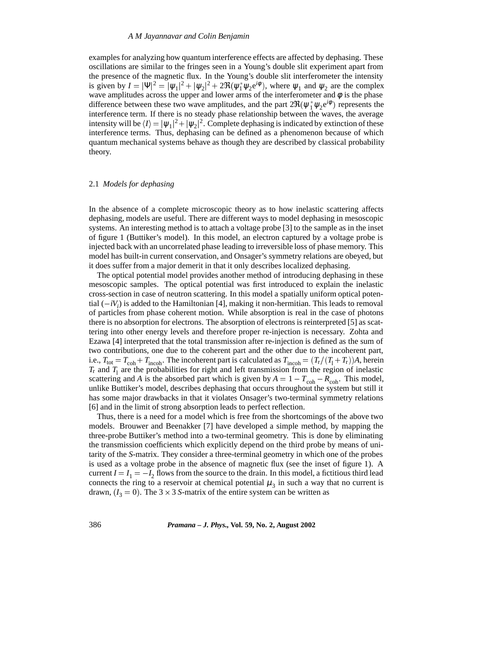#### *A M Jayannavar and Colin Benjamin*

examples for analyzing how quantum interference effects are affected by dephasing. These oscillations are similar to the fringes seen in a Young's double slit experiment apart from the presence of the magnetic flux. In the Young's double slit interferometer the intensity is given by  $I = |\Psi|^2 = |\psi_1|^2 + |\psi_2|^2 + 2\Re(\psi_1^* \psi_2 e^{i\phi})$ , where  $\psi_1$  and  $\psi_2$  are the complex wave amplitudes across the upper and lower arms of the interferometer and  $\phi$  is the phase difference between these two wave amplitudes, and the part  $2\Re(\psi_1^*\psi_2e^{i\phi})$  represents the interference term. If there is no steady phase relationship between the waves, the average intensity will be  $\langle I \rangle = |\psi_1|^2 + |\psi_2|^2$ . Complete dephasing is indicated by extinction of these interference terms. Thus, dephasing can be defined as a phenomenon because of which quantum mechanical systems behave as though they are described by classical probability theory.

### 2.1 *Models for dephasing*

In the absence of a complete microscopic theory as to how inelastic scattering affects dephasing, models are useful. There are different ways to model dephasing in mesoscopic systems. An interesting method is to attach a voltage probe [3] to the sample as in the inset of figure 1 (Buttiker's model). In this model, an electron captured by a voltage probe is injected back with an uncorrelated phase leading to irreversible loss of phase memory. This model has built-in current conservation, and Onsager's symmetry relations are obeyed, but it does suffer from a major demerit in that it only describes localized dephasing.

The optical potential model provides another method of introducing dephasing in these mesoscopic samples. The optical potential was first introduced to explain the inelastic cross-section in case of neutron scattering. In this model a spatially uniform optical potential  $(-iV_i)$  is added to the Hamiltonian [4], making it non-hermitian. This leads to removal of particles from phase coherent motion. While absorption is real in the case of photons there is no absorption for electrons. The absorption of electrons is reinterpreted [5] as scattering into other energy levels and therefore proper re-injection is necessary. Zohta and Ezawa [4] interpreted that the total transmission after re-injection is defined as the sum of two contributions, one due to the coherent part and the other due to the incoherent part, i.e.,  $T_{\text{tot}} = T_{\text{coh}} + T_{\text{incoh}}$ . The incoherent part is calculated as  $T_{\text{incoh}} = (T_{\text{r}}/(T_{\text{l}} + T_{\text{r}}))A$ , herein  $T_r$  and  $T_1$  are the probabilities for right and left transmission from the region of inelastic scattering and *A* is the absorbed part which is given by  $A = 1 - T_{coh} - R_{coh}$ . This model, unlike Buttiker's model, describes dephasing that occurs throughout the system but still it has some major drawbacks in that it violates Onsager's two-terminal symmetry relations [6] and in the limit of strong absorption leads to perfect reflection.

Thus, there is a need for a model which is free from the shortcomings of the above two models. Brouwer and Beenakker [7] have developed a simple method, by mapping the three-probe Buttiker's method into a two-terminal geometry. This is done by eliminating the transmission coefficients which explicitly depend on the third probe by means of unitarity of the *S*-matrix. They consider a three-terminal geometry in which one of the probes is used as a voltage probe in the absence of magnetic flux (see the inset of figure 1). A current  $I = I_1 = -I_2$  flows from the source to the drain. In this model, a fictitious third lead connects the ring to a reservoir at chemical potential  $\mu_3$  in such a way that no current is drawn,  $(I_3 = 0)$ . The  $3 \times 3$  *S*-matrix of the entire system can be written as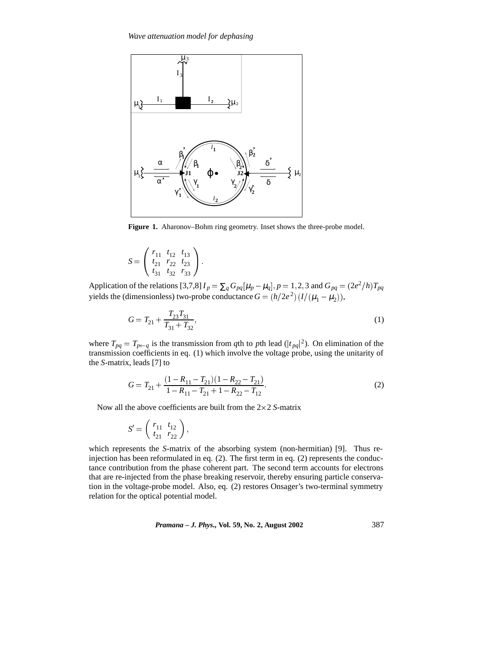

**Figure 1.** Aharonov–Bohm ring geometry. Inset shows the three-probe model.

$$
S = \left(\begin{array}{ccc} r_{11} & t_{12} & t_{13} \\ t_{21} & r_{22} & t_{23} \\ t_{31} & t_{32} & r_{33} \end{array}\right).
$$

Application of the relations [3,7,8]  $I_p = \sum_q G_{pq} [\mu_p - \mu_q], p = 1, 2, 3$  and  $G_{pq} = (2e^2/h)T_{pq}$ yields the (dimensionless) two-probe conductance  $G = (h/2e^2) (I/(\mu_1 - \mu_2)),$ 

$$
G = T_{21} + \frac{T_{23}T_{31}}{T_{31} + T_{32}},\tag{1}
$$

where  $T_{pq} = T_{p \leftarrow q}$  is the transmission from *q*th to *p*th lead ( $|t_{pq}|^2$ ). On elimination of the transmission coefficients in eq. (1) which involve the voltage probe, using the unitarity of the *S*-matrix, leads [7] to

$$
G = T_{21} + \frac{(1 - R_{11} - T_{21})(1 - R_{22} - T_{21})}{1 - R_{11} - T_{21} + 1 - R_{22} - T_{12}}.
$$
\n
$$
(2)
$$

Now all the above coefficients are built from the  $2 \times 2$  *S*-matrix

$$
S' = \left( \begin{array}{cc} r_{11} & t_{12} \\ t_{21} & r_{22} \end{array} \right),
$$

which represents the *S*-matrix of the absorbing system (non-hermitian) [9]. Thus reinjection has been reformulated in eq. (2). The first term in eq. (2) represents the conductance contribution from the phase coherent part. The second term accounts for electrons that are re-injected from the phase breaking reservoir, thereby ensuring particle conservation in the voltage-probe model. Also, eq. (2) restores Onsager's two-terminal symmetry relation for the optical potential model.

*Pramana – J. Phys.,* **Vol. 59, No. 2, August 2002** 387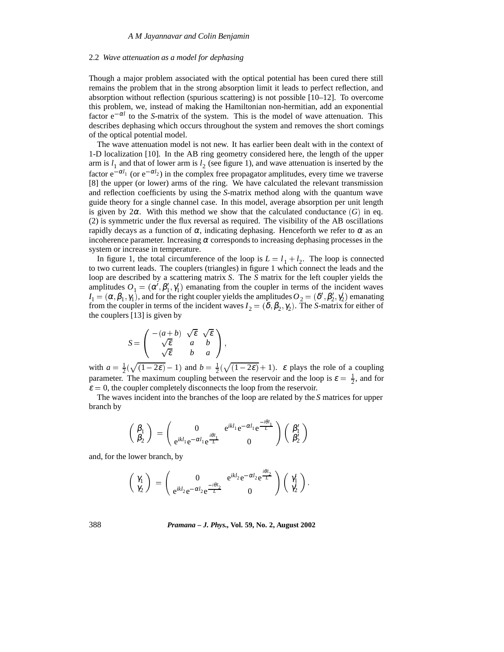#### 2.2 *Wave attenuation as a model for dephasing*

Though a major problem associated with the optical potential has been cured there still remains the problem that in the strong absorption limit it leads to perfect reflection, and absorption without reflection (spurious scattering) is not possible [10–12]. To overcome this problem, we, instead of making the Hamiltonian non-hermitian, add an exponential factor  $e^{-\alpha l}$  to the *S*-matrix of the system. This is the model of wave attenuation. This describes dephasing which occurs throughout the system and removes the short comings of the optical potential model.

The wave attenuation model is not new. It has earlier been dealt with in the context of 1-D localization [10]. In the AB ring geometry considered here, the length of the upper arm is  $l_1$  and that of lower arm is  $l_2$  (see figure 1), and wave attenuation is inserted by the factor  $e^{-\alpha l_1}$  (or  $e^{-\alpha l_2}$ ) in the complex free propagator amplitudes, every time we traverse [8] the upper (or lower) arms of the ring. We have calculated the relevant transmission and reflection coefficients by using the *S*-matrix method along with the quantum wave guide theory for a single channel case. In this model, average absorption per unit length is given by 2α. With this method we show that the calculated conductance  $(G)$  in eq. (2) is symmetric under the flux reversal as required. The visibility of the AB oscillations rapidly decays as a function of  $\alpha$ , indicating dephasing. Henceforth we refer to  $\alpha$  as an incoherence parameter. Increasing  $\alpha$  corresponds to increasing dephasing processes in the system or increase in temperature.

In figure 1, the total circumference of the loop is  $L = l_1 + l_2$ . The loop is connected to two current leads. The couplers (triangles) in figure 1 which connect the leads and the loop are described by a scattering matrix *S*. The *S* matrix for the left coupler yields the amplitudes  $O_1 = (\alpha', \beta'_1, \gamma'_1)$  emanating from the coupler in terms of the incident waves  $I_1 = (\alpha, \beta_1, \gamma_1)$ , and for the right coupler yields the amplitudes  $O_2 = (\delta', \beta'_2, \gamma'_2)$  emanating from the coupler in terms of the incident waves  $I_2 = (\delta, \beta_2, \gamma_2)$ . The *S*-matrix for either of the couplers [13] is given by

$$
S = \begin{pmatrix} -(a+b) & \sqrt{\varepsilon} & \sqrt{\varepsilon} \\ \sqrt{\varepsilon} & a & b \\ \sqrt{\varepsilon} & b & a \end{pmatrix},
$$

with  $a = \frac{1}{2}(\sqrt{(1-2\varepsilon)}-1)$  and  $b = \frac{1}{2}(\sqrt{(1-2\varepsilon)}+1)$ .  $\varepsilon$  plays the role of a coupling parameter. The maximum coupling between the reservoir and the loop is  $\varepsilon = \frac{1}{2}$ , and for  $\varepsilon = 0$ , the coupler completely disconnects the loop from the reservoir.

The waves incident into the branches of the loop are related by the *S* matrices for upper branch by

$$
\begin{pmatrix}\n\beta_1 \\
\beta_2\n\end{pmatrix} = \begin{pmatrix}\n0 & e^{ikl_1}e^{-\alpha l_1}e^{\frac{-i\theta l_1}{L}} \\
e^{ikl_1}e^{-\alpha l_1}e^{\frac{i\theta l_1}{L}} & 0\n\end{pmatrix} \begin{pmatrix}\n\beta'_1 \\
\beta'_2\n\end{pmatrix}
$$

and, for the lower branch, by

$$
\left(\begin{array}{c} \gamma_1 \\ \gamma_2 \end{array}\right) \; = \left(\begin{array}{cc} 0 & e^{ikl_2} e^{-\alpha l_2} e^{\frac{i\theta l_2}{L}} \\ e^{ikl_2} e^{-\alpha l_2} e^{\frac{-i\theta l_2}{L}} & 0 \end{array}\right) \left(\begin{array}{c} \gamma_1' \\ \gamma_2' \end{array}\right).
$$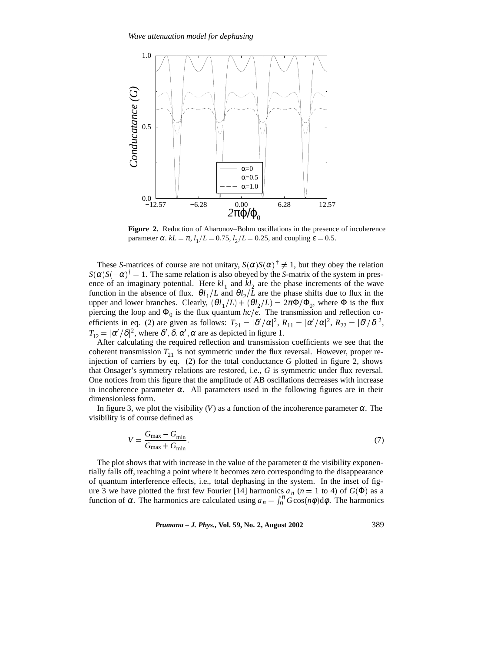

**Figure 2.** Reduction of Aharonov–Bohm oscillations in the presence of incoherence parameter  $\alpha$ .  $kL = \pi$ ,  $l_1/L = 0.75$ ,  $l_2/L = 0.25$ , and coupling  $\varepsilon = 0.5$ .

These *S*-matrices of course are not unitary,  $S(\alpha)S(\alpha)^{\dagger} \neq 1$ , but they obey the relation  $S(\alpha)S(-\alpha)^{\dagger} = 1$ . The same relation is also obeyed by the *S*-matrix of the system in presence of an imaginary potential. Here  $kl_1$  and  $kl_2$  are the phase increments of the wave function in the absence of flux.  $\theta l_1/L$  and  $\theta l_2/L$  are the phase shifts due to flux in the upper and lower branches. Clearly,  $(\theta l_1/L) + (\theta l_2/L) = 2\pi \Phi/\Phi_0$ , where  $\Phi$  is the flux piercing the loop and  $\Phi_0$  is the flux quantum  $hc/e$ . The transmission and reflection coefficients in eq. (2) are given as follows:  $T_{21} = |\delta'/\alpha|^2$ ,  $R_{11} = |\alpha'/\alpha|^2$ ,  $R_{22} = |\delta'/\delta|^2$ ,  $T_{12} = |\alpha'/\delta|^2$ , where  $\delta', \delta, \alpha', \alpha$  are as depicted in figure 1.

After calculating the required reflection and transmission coefficients we see that the coherent transmission  $T_{21}$  is not symmetric under the flux reversal. However, proper reinjection of carriers by eq. (2) for the total conductance *G* plotted in figure 2, shows that Onsager's symmetry relations are restored, i.e., *G* is symmetric under flux reversal. One notices from this figure that the amplitude of AB oscillations decreases with increase in incoherence parameter  $\alpha$ . All parameters used in the following figures are in their dimensionless form.

In figure 3, we plot the visibility  $(V)$  as a function of the incoherence parameter  $\alpha$ . The visibility is of course defined as

$$
V = \frac{G_{\text{max}} - G_{\text{min}}}{G_{\text{max}} + G_{\text{min}}}.\tag{7}
$$

The plot shows that with increase in the value of the parameter  $\alpha$  the visibility exponentially falls off, reaching a point where it becomes zero corresponding to the disappearance of quantum interference effects, i.e., total dephasing in the system. In the inset of figure 3 we have plotted the first few Fourier [14] harmonics  $a_n$  ( $n = 1$  to 4) of  $G(\Phi)$  as a function of α. The harmonics are calculated using  $a_n = \int_0^{\pi} G \cos(n\phi) d\phi$ . The harmonics

*Pramana – J. Phys.,* **Vol. 59, No. 2, August 2002** 389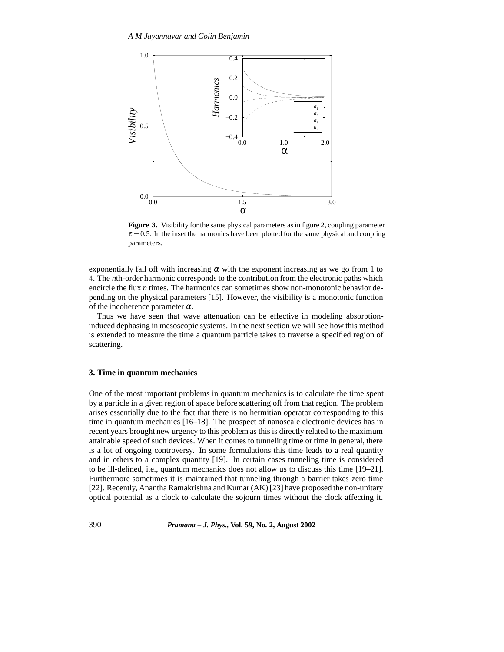

**Figure 3.** Visibility for the same physical parameters as in figure 2, coupling parameter  $\epsilon$  = 0.5. In the inset the harmonics have been plotted for the same physical and coupling parameters.

exponentially fall off with increasing  $\alpha$  with the exponent increasing as we go from 1 to 4. The *n*th-order harmonic corresponds to the contribution from the electronic paths which encircle the flux *n* times. The harmonics can sometimes show non-monotonic behavior depending on the physical parameters [15]. However, the visibility is a monotonic function of the incoherence parameter  $\alpha$ .

Thus we have seen that wave attenuation can be effective in modeling absorptioninduced dephasing in mesoscopic systems. In the next section we will see how this method is extended to measure the time a quantum particle takes to traverse a specified region of scattering.

#### **3. Time in quantum mechanics**

One of the most important problems in quantum mechanics is to calculate the time spent by a particle in a given region of space before scattering off from that region. The problem arises essentially due to the fact that there is no hermitian operator corresponding to this time in quantum mechanics [16–18]. The prospect of nanoscale electronic devices has in recent years brought new urgency to this problem as this is directly related to the maximum attainable speed of such devices. When it comes to tunneling time or time in general, there is a lot of ongoing controversy. In some formulations this time leads to a real quantity and in others to a complex quantity [19]. In certain cases tunneling time is considered to be ill-defined, i.e., quantum mechanics does not allow us to discuss this time [19–21]. Furthermore sometimes it is maintained that tunneling through a barrier takes zero time [22]. Recently, Anantha Ramakrishna and Kumar (AK) [23] have proposed the non-unitary optical potential as a clock to calculate the sojourn times without the clock affecting it.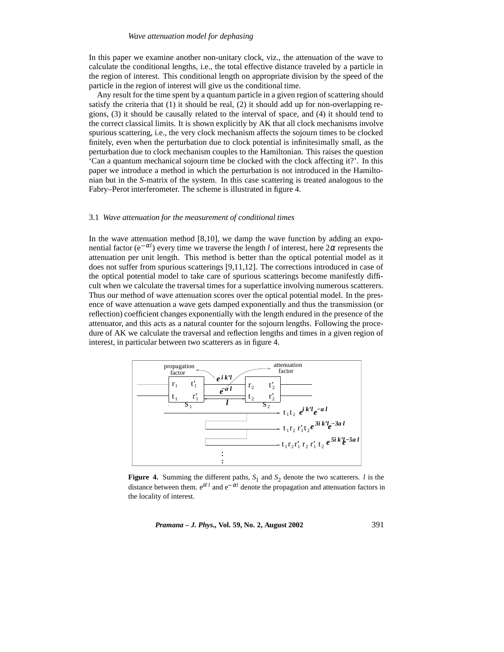# *Wave attenuation model for dephasing*

In this paper we examine another non-unitary clock, viz., the attenuation of the wave to calculate the conditional lengths, i.e., the total effective distance traveled by a particle in the region of interest. This conditional length on appropriate division by the speed of the particle in the region of interest will give us the conditional time.

Any result for the time spent by a quantum particle in a given region of scattering should satisfy the criteria that  $(1)$  it should be real,  $(2)$  it should add up for non-overlapping regions, (3) it should be causally related to the interval of space, and (4) it should tend to the correct classical limits. It is shown explicitly by AK that all clock mechanisms involve spurious scattering, i.e., the very clock mechanism affects the sojourn times to be clocked finitely, even when the perturbation due to clock potential is infinitesimally small, as the perturbation due to clock mechanism couples to the Hamiltonian. This raises the question 'Can a quantum mechanical sojourn time be clocked with the clock affecting it?'. In this paper we introduce a method in which the perturbation is not introduced in the Hamiltonian but in the *S*-matrix of the system. In this case scattering is treated analogous to the Fabry–Perot interferometer. The scheme is illustrated in figure 4.

#### 3.1 *Wave attenuation for the measurement of conditional times*

In the wave attenuation method  $[8,10]$ , we damp the wave function by adding an exponential factor ( $e^{-\alpha l}$ ) every time we traverse the length *l* of interest, here  $2\alpha$  represents the attenuation per unit length. This method is better than the optical potential model as it does not suffer from spurious scatterings [9,11,12]. The corrections introduced in case of the optical potential model to take care of spurious scatterings become manifestly difficult when we calculate the traversal times for a superlattice involving numerous scatterers. Thus our method of wave attenuation scores over the optical potential model. In the presence of wave attenuation a wave gets damped exponentially and thus the transmission (or reflection) coefficient changes exponentially with the length endured in the presence of the attenuator, and this acts as a natural counter for the sojourn lengths. Following the procedure of AK we calculate the traversal and reflection lengths and times in a given region of interest, in particular between two scatterers as in figure 4.



**Figure 4.** Summing the different paths,  $S_1$  and  $S_2$  denote the two scatterers. *l* is the distance between them.  $e^{ik^{\dagger}l}$  and  $e^{-\alpha l}$  denote the propagation and attenuation factors in the locality of interest.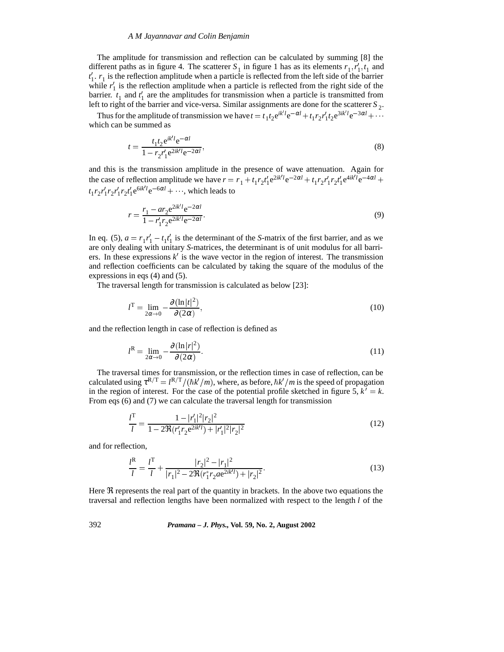#### *A M Jayannavar and Colin Benjamin*

The amplitude for transmission and reflection can be calculated by summing [8] the different paths as in figure 4. The scatterer  $S_1$  in figure 1 has as its elements  $r_1, r'_1, t_1$  and  $t_1'$ .  $r_1$  is the reflection amplitude when a particle is reflected from the left side of the barrier while  $r_1$  is the reflection amplitude when a particle is reflected from the right side of the barrier.  $t_1$  and  $t_1$  are the amplitudes for transmission when a particle is transmitted from left to right of the barrier and vice-versa. Similar assignments are done for the scatterer  $S_2$ .

Thus for the amplitude of transmission we have  $t = t_1 t_2 e^{ik^l} e^{-\alpha l} + t_1 r_2 r_1' t_2 e^{3ik^l} e^{-3\alpha l} + \cdots$ which can be summed as

$$
t = \frac{t_1 t_2 e^{ik'l} e^{-\alpha l}}{1 - r_2 r'_1 e^{2ik'l} e^{-2\alpha l}},
$$
\n(8)

and this is the transmission amplitude in the presence of wave attenuation. Again for the case of reflection amplitude we have  $r = r_1 + t_1 r_2 t_1' e^{2ik'l} e^{-2\alpha l} + t_1 r_2 r_1' r_2 t_1' e^{4ik'l} e^{-4\alpha l} +$  $t_1 r_2 r_1' r_2 r_1' r_2 t_1' e^{6ik'l} e^{-6\alpha l} + \cdots$ , which leads to

$$
r = \frac{r_1 - ar_2 e^{2ik'l} e^{-2\alpha l}}{1 - r'_1 r_2 e^{2ik'l} e^{-2\alpha l}}.
$$
\n(9)

In eq. (5),  $a = r_1 r_1' - t_1 t_1'$  is the determinant of the *S*-matrix of the first barrier, and as we are only dealing with unitary *S*-matrices, the determinant is of unit modulus for all barriers. In these expressions  $k'$  is the wave vector in the region of interest. The transmission and reflection coefficients can be calculated by taking the square of the modulus of the expressions in eqs (4) and (5).

The traversal length for transmission is calculated as below [23]:

$$
l^{\mathrm{T}} = \lim_{2\alpha \to 0} -\frac{\partial (\ln |t|^2)}{\partial (2\alpha)},\tag{10}
$$

and the reflection length in case of reflection is defined as

$$
l^{\mathcal{R}} = \lim_{2\alpha \to 0} -\frac{\partial (\ln |r|^2)}{\partial (2\alpha)}.
$$
 (11)

The traversal times for transmission, or the reflection times in case of reflection, can be calculated using  $\tau^{R/T} = l^{R/T}/(\hbar k'/m)$ , where, as before,  $\hbar k'/m$  is the speed of propagation in the region of interest. For the case of the potential profile sketched in figure 5,  $k' = k$ . From eqs (6) and (7) we can calculate the traversal length for transmission

$$
\frac{l^{\mathrm{T}}}{l} = \frac{1 - |r_1'|^2 |r_2|^2}{1 - 2\Re(r_1' r_2 e^{2ik'l}) + |r_1'|^2 |r_2|^2}
$$
(12)

and for reflection,

$$
\frac{l^R}{l} = \frac{l^T}{l} + \frac{|r_2|^2 - |r_1|^2}{|r_1|^2 - 2\Re(r_1^* r_2 a e^{2ik}l) + |r_2|^2}.
$$
\n(13)

Here  $\Re$  represents the real part of the quantity in brackets. In the above two equations the traversal and reflection lengths have been normalized with respect to the length *l* of the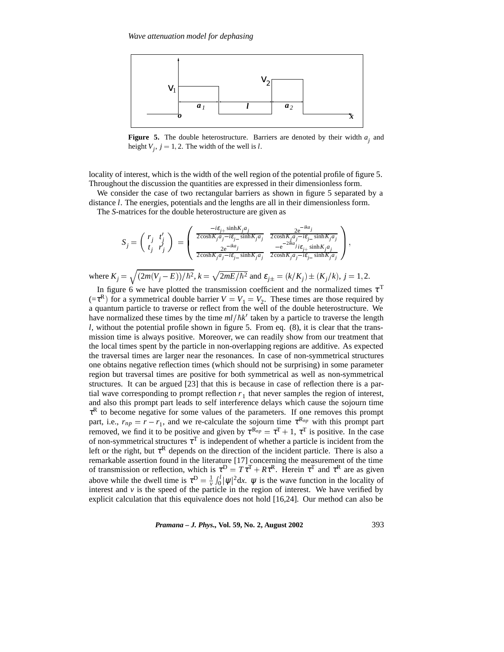

**Figure 5.** The double heterostructure. Barriers are denoted by their width  $a_i$  and height  $V_j$ ,  $j = 1, 2$ . The width of the well is *l*.

locality of interest, which is the width of the well region of the potential profile of figure 5. Throughout the discussion the quantities are expressed in their dimensionless form.

We consider the case of two rectangular barriers as shown in figure 5 separated by a distance *l*. The energies, potentials and the lengths are all in their dimensionless form.

The *S*-matrices for the double heterostructure are given as

$$
S_j = \left(\begin{array}{c} r_j \ t'_j \\ t_j \end{array}\right) \ = \left(\begin{array}{cc} \frac{-i\varepsilon_{j+} \sinh K_j a_j}{2\cosh K_j a_j - i\varepsilon_{j-} \sinh K_j a_j} & \frac{2\mathrm{e}^{-ika_j}}{2\cosh K_j a_j - i\varepsilon_{j-} \sinh K_j a_j} \\ \frac{2\mathrm{e}^{-ika_j}}{2\cosh K_j a_j - i\varepsilon_{j-} \sinh K_j a_j} & \frac{-\mathrm{e}^{-2ika_j} i\varepsilon_{j+} \sinh K_j a_j}{2\cosh K_j a_j - i\varepsilon_{j-} \sinh K_j a_j} \end{array}\right),
$$

where  $K_j = \sqrt{\frac{2m(V_j - E)}{\hbar^2}}$ ,  $k = \sqrt{\frac{2mE/\hbar^2}{\hbar^2}}$  and  $\varepsilon_{j\pm} = (k/K_j) \pm (K_j/k)$ ,  $j = 1, 2$ .

In figure 6 we have plotted the transmission coefficient and the normalized times  $\tau^T$  $(=\tau^R)$  for a symmetrical double barrier  $V = V_1 = V_2$ . These times are those required by a quantum particle to traverse or reflect from the well of the double heterostructure. We have normalized these times by the time  $ml/\hbar k'$  taken by a particle to traverse the length *l*, without the potential profile shown in figure 5. From eq. (8), it is clear that the transmission time is always positive. Moreover, we can readily show from our treatment that the local times spent by the particle in non-overlapping regions are additive. As expected the traversal times are larger near the resonances. In case of non-symmetrical structures one obtains negative reflection times (which should not be surprising) in some parameter region but traversal times are positive for both symmetrical as well as non-symmetrical structures. It can be argued [23] that this is because in case of reflection there is a partial wave corresponding to prompt reflection  $r_1$  that never samples the region of interest, and also this prompt part leads to self interference delays which cause the sojourn time  $\tau^R$  to become negative for some values of the parameters. If one removes this prompt part, i.e.,  $r_{np} = r - r_1$ , and we re-calculate the sojourn time  $\tau^{R_{np}}$  with this prompt part removed, we find it to be positive and given by  $\tau^{R_{np}} = \tau^{T} + 1$ ,  $\tau^{T}$  is positive. In the case of non-symmetrical structures  $\tau^T$  is independent of whether a particle is incident from the left or the right, but  $\tau^R$  depends on the direction of the incident particle. There is also a remarkable assertion found in the literature [17] concerning the measurement of the time of transmission or reflection, which is  $\tau^D = T\tau^T + R\tau^R$ . Herein  $\tau^T$  and  $\tau^R$  are as given above while the dwell time is  $\tau^D = \frac{1}{v} \int_0^l |\psi|^2 dx$ .  $\psi$  is the wave function in the locality of interest and  $\nu$  is the speed of the particle in the region of interest. We have verified by explicit calculation that this equivalence does not hold [16,24]. Our method can also be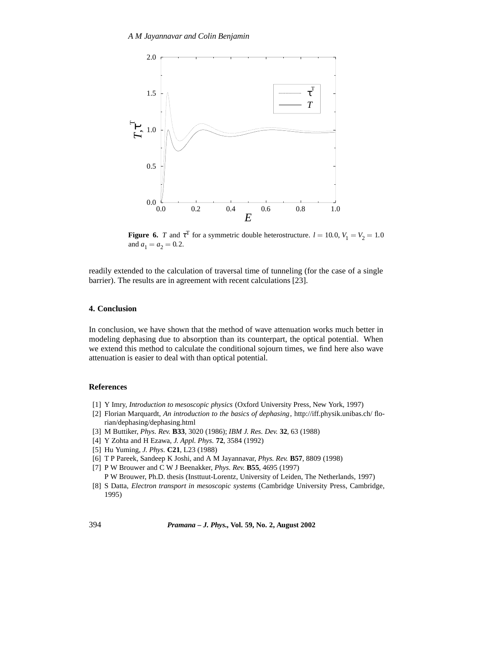

**Figure 6.** *T* and  $\tau^T$  for a symmetric double heterostructure.  $l = 10.0, V_1 = V_2 = 1.0$ and  $a_1 = a_2 = 0.2$ .

readily extended to the calculation of traversal time of tunneling (for the case of a single barrier). The results are in agreement with recent calculations [23].

## **4. Conclusion**

In conclusion, we have shown that the method of wave attenuation works much better in modeling dephasing due to absorption than its counterpart, the optical potential. When we extend this method to calculate the conditional sojourn times, we find here also wave attenuation is easier to deal with than optical potential.

# **References**

- [1] Y Imry, *Introduction to mesoscopic physics* (Oxford University Press, New York, 1997)
- [2] Florian Marquardt, *An introduction to the basics of dephasing*, http://iff.physik.unibas.ch/ florian/dephasing/dephasing.html
- [3] M Buttiker, *Phys. Rev.* **B33**, 3020 (1986); *IBM J. Res. Dev.* **32**, 63 (1988)
- [4] Y Zohta and H Ezawa, *J. Appl. Phys.* **72**, 3584 (1992)
- [5] Hu Yuming, *J. Phys.* **C21**, L23 (1988)
- [6] T P Pareek, Sandeep K Joshi, and A M Jayannavar, *Phys. Rev.* **B57**, 8809 (1998)
- [7] P W Brouwer and C W J Beenakker, *Phys. Rev.* **B55**, 4695 (1997)
- P W Brouwer, Ph.D. thesis (Insttuut-Lorentz, University of Leiden, The Netherlands, 1997)
- [8] S Datta, *Electron transport in mesoscopic systems* (Cambridge University Press, Cambridge, 1995)